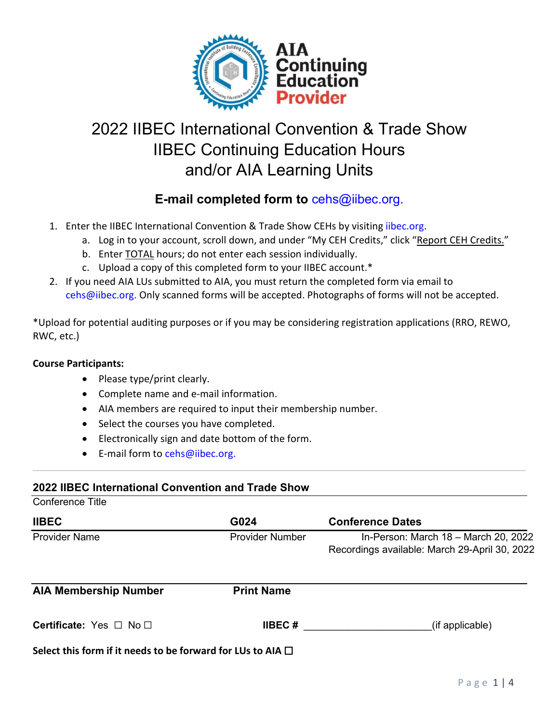

# 2022 IIBEC International Convention & Trade Show IIBEC Continuing Education Hours and/or AIA Learning Units

# **E-mail completed form to** [cehs@iibec.org.](mailto:cehs@iibec.org)

- 1. Enter the IIBEC International Convention & Trade Show CEHs by visiting [iibec.org.](https://iibec.org/login/)
	- a. Log in to your account, scroll down, and under "My CEH Credits," click "Report CEH Credits."
	- b. Enter TOTAL hours; do not enter each session individually.
	- c. Upload a copy of this completed form to your IIBEC account.\*
- 2. If you need AIA LUs submitted to AIA, you must return the completed form via email to [cehs@iibec.org.](mailto:cehs@iibec.org) Only scanned forms will be accepted. Photographs of forms will not be accepted.

\*Upload for potential auditing purposes or if you may be considering registration applications (RRO, REWO, RWC, etc.)

#### **Course Participants:**

- Please type/print clearly.
- Complete name and e-mail information.
- AIA members are required to input their membership number.
- Select the courses you have completed.
- Electronically sign and date bottom of the form.
- E-mail form t[o cehs@iibec.org.](mailto:cehs@iibec.org)

#### **2022 IIBEC International Convention and Trade Show**

Conference Title

| <b>IIBEC</b>         | G024                   | <b>Conference Dates</b>                                                               |
|----------------------|------------------------|---------------------------------------------------------------------------------------|
| <b>Provider Name</b> | <b>Provider Number</b> | In-Person: March 18 - March 20, 2022<br>Recordings available: March 29-April 30, 2022 |
|                      |                        |                                                                                       |

| <b>AIA Membership Number</b>                                     | <b>Print Name</b> |                 |
|------------------------------------------------------------------|-------------------|-----------------|
| <b>Certificate:</b> Yes $\Box$ No $\Box$                         | <b>IIBEC</b> #    | (if applicable) |
| Select this form if it needs to be forward for LUs to AIA $\Box$ |                   |                 |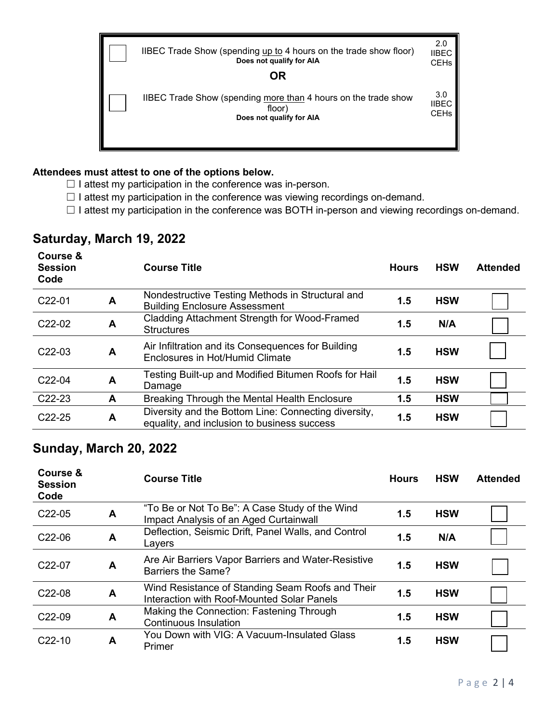IIBEC Trade Show (spending up to 4 hours on the trade show floor) **Does not qualify for AIA** IIBEC CEHs

2.0

**OR**

IIBEC Trade Show (spending more than 4 hours on the trade show floor) **Does not qualify for AIA** 3.0 IIBEC CEHs

#### **Attendees must attest to one of the options below.**

 $\Box$  I attest my participation in the conference was in-person.

- $\Box$  I attest my participation in the conference was viewing recordings on-demand.
- □ I attest my participation in the conference was BOTH in-person and viewing recordings on-demand.

### **Saturday, March 19, 2022**

| Course &<br><b>Session</b><br>Code |   | <b>Course Title</b>                                                                                 | <b>Hours</b> | <b>HSW</b> | <b>Attended</b> |
|------------------------------------|---|-----------------------------------------------------------------------------------------------------|--------------|------------|-----------------|
| C <sub>22</sub> -01                | A | Nondestructive Testing Methods in Structural and<br><b>Building Enclosure Assessment</b>            | 1.5          | <b>HSW</b> |                 |
| C <sub>22</sub> -02                | A | Cladding Attachment Strength for Wood-Framed<br><b>Structures</b>                                   | 1.5          | N/A        |                 |
| C <sub>22</sub> -03                | A | Air Infiltration and its Consequences for Building<br>Enclosures in Hot/Humid Climate               | 1.5          | <b>HSW</b> |                 |
| C <sub>22</sub> -04                | A | Testing Built-up and Modified Bitumen Roofs for Hail<br>Damage                                      | 1.5          | <b>HSW</b> |                 |
| C <sub>22</sub> -23                | A | Breaking Through the Mental Health Enclosure                                                        | 1.5          | <b>HSW</b> |                 |
| $C22-25$                           | A | Diversity and the Bottom Line: Connecting diversity,<br>equality, and inclusion to business success | 1.5          | <b>HSW</b> |                 |

## **Sunday, March 20, 2022**

| Course &<br><b>Session</b><br>Code |   | <b>Course Title</b>                                                                            | <b>Hours</b> | <b>HSW</b> | <b>Attended</b> |
|------------------------------------|---|------------------------------------------------------------------------------------------------|--------------|------------|-----------------|
| C <sub>22</sub> -05                | A | "To Be or Not To Be": A Case Study of the Wind<br>Impact Analysis of an Aged Curtainwall       | 1.5          | <b>HSW</b> |                 |
| C <sub>22</sub> -06                | A | Deflection, Seismic Drift, Panel Walls, and Control<br>Layers                                  | 1.5          | N/A        |                 |
| C <sub>22</sub> -07                | A | Are Air Barriers Vapor Barriers and Water-Resistive<br>Barriers the Same?                      | 1.5          | <b>HSW</b> |                 |
| C <sub>22</sub> -08                | A | Wind Resistance of Standing Seam Roofs and Their<br>Interaction with Roof-Mounted Solar Panels | 1.5          | <b>HSW</b> |                 |
| C <sub>22</sub> -09                | A | Making the Connection: Fastening Through<br><b>Continuous Insulation</b>                       | 1.5          | <b>HSW</b> |                 |
| $C22-10$                           | A | You Down with VIG: A Vacuum-Insulated Glass<br>Primer                                          | 1.5          | <b>HSW</b> |                 |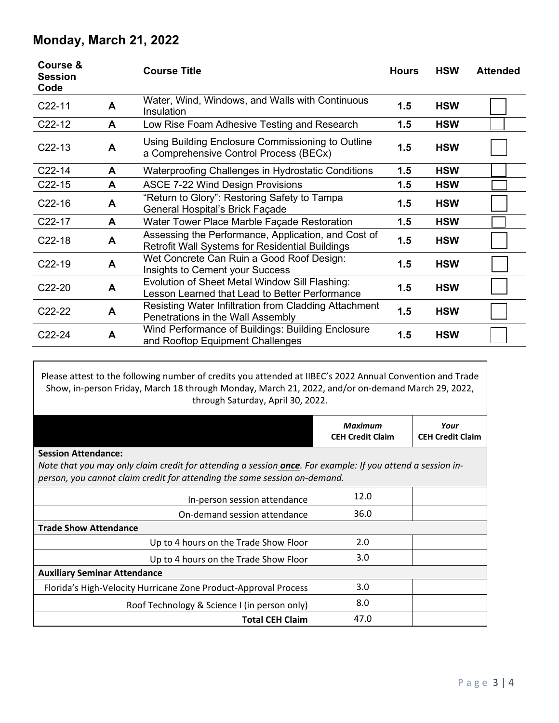# **Monday, March 21, 2022**

| Course &<br><b>Session</b><br>Code |   | <b>Course Title</b>                                                                                           | <b>Hours</b> | <b>HSW</b> | <b>Attended</b> |
|------------------------------------|---|---------------------------------------------------------------------------------------------------------------|--------------|------------|-----------------|
| $C22-11$                           | A | Water, Wind, Windows, and Walls with Continuous<br>Insulation                                                 | 1.5          | <b>HSW</b> |                 |
| C <sub>22</sub> -12                | A | Low Rise Foam Adhesive Testing and Research                                                                   | 1.5          | <b>HSW</b> |                 |
| $C22-13$                           | A | Using Building Enclosure Commissioning to Outline<br>a Comprehensive Control Process (BECx)                   | 1.5          | <b>HSW</b> |                 |
| $C22-14$                           | A | Waterproofing Challenges in Hydrostatic Conditions                                                            | 1.5          | <b>HSW</b> |                 |
| $C22-15$                           | A | <b>ASCE 7-22 Wind Design Provisions</b>                                                                       | 1.5          | <b>HSW</b> |                 |
| $C22-16$                           | A | "Return to Glory": Restoring Safety to Tampa<br>General Hospital's Brick Façade                               | 1.5          | <b>HSW</b> |                 |
| C <sub>22</sub> -17                | A | Water Tower Place Marble Façade Restoration                                                                   | 1.5          | <b>HSW</b> |                 |
| $C22-18$                           | A | Assessing the Performance, Application, and Cost of<br><b>Retrofit Wall Systems for Residential Buildings</b> | 1.5          | <b>HSW</b> |                 |
| $C22-19$                           | A | Wet Concrete Can Ruin a Good Roof Design:<br>Insights to Cement your Success                                  | 1.5          | <b>HSW</b> |                 |
| C <sub>22</sub> -20                | A | Evolution of Sheet Metal Window Sill Flashing:<br>Lesson Learned that Lead to Better Performance              | 1.5          | <b>HSW</b> |                 |
| C <sub>22</sub> -22                | A | Resisting Water Infiltration from Cladding Attachment<br>Penetrations in the Wall Assembly                    | 1.5          | <b>HSW</b> |                 |
| $C22-24$                           | A | Wind Performance of Buildings: Building Enclosure<br>and Rooftop Equipment Challenges                         | 1.5          | <b>HSW</b> |                 |

Please attest to the following number of credits you attended at IIBEC's 2022 Annual Convention and Trade Show, in-person Friday, March 18 through Monday, March 21, 2022, and/or on-demand March 29, 2022, through Saturday, April 30, 2022.

|                                                                                                                                                                                                                               | <b>Maximum</b><br><b>CEH Credit Claim</b> | Your<br><b>CEH Credit Claim</b> |  |  |  |
|-------------------------------------------------------------------------------------------------------------------------------------------------------------------------------------------------------------------------------|-------------------------------------------|---------------------------------|--|--|--|
| <b>Session Attendance:</b><br>Note that you may only claim credit for attending a session <b>once</b> . For example: If you attend a session in-<br>person, you cannot claim credit for attending the same session on-demand. |                                           |                                 |  |  |  |
| In-person session attendance                                                                                                                                                                                                  | 12.0                                      |                                 |  |  |  |
| On-demand session attendance                                                                                                                                                                                                  | 36.0                                      |                                 |  |  |  |
| <b>Trade Show Attendance</b>                                                                                                                                                                                                  |                                           |                                 |  |  |  |
| Up to 4 hours on the Trade Show Floor                                                                                                                                                                                         | 2.0                                       |                                 |  |  |  |
| Up to 4 hours on the Trade Show Floor                                                                                                                                                                                         | 3.0                                       |                                 |  |  |  |
| <b>Auxiliary Seminar Attendance</b>                                                                                                                                                                                           |                                           |                                 |  |  |  |
| Florida's High-Velocity Hurricane Zone Product-Approval Process                                                                                                                                                               | 3.0                                       |                                 |  |  |  |
| Roof Technology & Science I (in person only)                                                                                                                                                                                  | 8.0                                       |                                 |  |  |  |
| <b>Total CEH Claim</b>                                                                                                                                                                                                        | 47.0                                      |                                 |  |  |  |